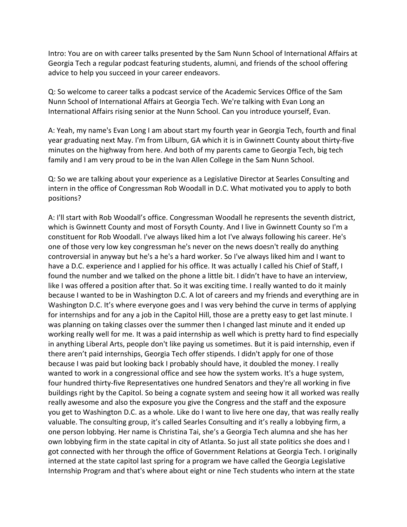Intro: You are on with career talks presented by the Sam Nunn School of International Affairs at Georgia Tech a regular podcast featuring students, alumni, and friends of the school offering advice to help you succeed in your career endeavors.

Q: So welcome to career talks a podcast service of the Academic Services Office of the Sam Nunn School of International Affairs at Georgia Tech. We're talking with Evan Long an International Affairs rising senior at the Nunn School. Can you introduce yourself, Evan.

A: Yeah, my name's Evan Long I am about start my fourth year in Georgia Tech, fourth and final year graduating next May. I'm from Lilburn, GA which it is in Gwinnett County about thirty-five minutes on the highway from here. And both of my parents came to Georgia Tech, big tech family and I am very proud to be in the Ivan Allen College in the Sam Nunn School.

Q: So we are talking about your experience as a Legislative Director at Searles Consulting and intern in the office of Congressman Rob Woodall in D.C. What motivated you to apply to both positions?

A: I'll start with Rob Woodall's office. Congressman Woodall he represents the seventh district, which is Gwinnett County and most of Forsyth County. And I live in Gwinnett County so I'm a constituent for Rob Woodall. I've always liked him a lot I've always following his career. He's one of those very low key congressman he's never on the news doesn't really do anything controversial in anyway but he's a he's a hard worker. So I've always liked him and I want to have a D.C. experience and I applied for his office. It was actually I called his Chief of Staff, I found the number and we talked on the phone a little bit. I didn't have to have an interview, like I was offered a position after that. So it was exciting time. I really wanted to do it mainly because I wanted to be in Washington D.C. A lot of careers and my friends and everything are in Washington D.C. It's where everyone goes and I was very behind the curve in terms of applying for internships and for any a job in the Capitol Hill, those are a pretty easy to get last minute. I was planning on taking classes over the summer then I changed last minute and it ended up working really well for me. It was a paid internship as well which is pretty hard to find especially in anything Liberal Arts, people don't like paying us sometimes. But it is paid internship, even if there aren't paid internships, Georgia Tech offer stipends. I didn't apply for one of those because I was paid but looking back I probably should have, it doubled the money. I really wanted to work in a congressional office and see how the system works. It's a huge system, four hundred thirty-five Representatives one hundred Senators and they're all working in five buildings right by the Capitol. So being a cognate system and seeing how it all worked was really really awesome and also the exposure you give the Congress and the staff and the exposure you get to Washington D.C. as a whole. Like do I want to live here one day, that was really really valuable. The consulting group, it's called Searles Consulting and it's really a lobbying firm, a one person lobbying. Her name is Christina Tai, she's a Georgia Tech alumna and she has her own lobbying firm in the state capital in city of Atlanta. So just all state politics she does and I got connected with her through the office of Government Relations at Georgia Tech. I originally interned at the state capitol last spring for a program we have called the Georgia Legislative Internship Program and that's where about eight or nine Tech students who intern at the state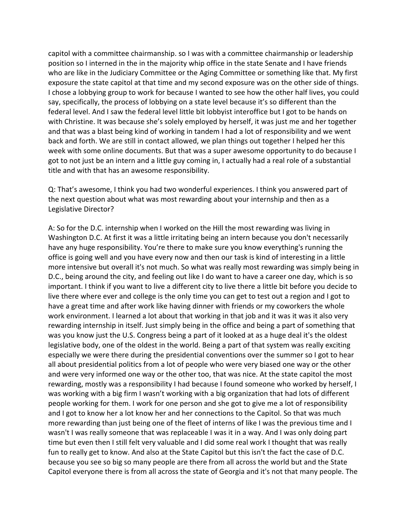capitol with a committee chairmanship. so I was with a committee chairmanship or leadership position so I interned in the in the majority whip office in the state Senate and I have friends who are like in the Judiciary Committee or the Aging Committee or something like that. My first exposure the state capitol at that time and my second exposure was on the other side of things. I chose a lobbying group to work for because I wanted to see how the other half lives, you could say, specifically, the process of lobbying on a state level because it's so different than the federal level. And I saw the federal level little bit lobbyist interoffice but I got to be hands on with Christine. It was because she's solely employed by herself, it was just me and her together and that was a blast being kind of working in tandem I had a lot of responsibility and we went back and forth. We are still in contact allowed, we plan things out together I helped her this week with some online documents. But that was a super awesome opportunity to do because I got to not just be an intern and a little guy coming in, I actually had a real role of a substantial title and with that has an awesome responsibility.

Q: That's awesome, I think you had two wonderful experiences. I think you answered part of the next question about what was most rewarding about your internship and then as a Legislative Director?

A: So for the D.C. internship when I worked on the Hill the most rewarding was living in Washington D.C. At first it was a little irritating being an intern because you don't necessarily have any huge responsibility. You're there to make sure you know everything's running the office is going well and you have every now and then our task is kind of interesting in a little more intensive but overall it's not much. So what was really most rewarding was simply being in D.C., being around the city, and feeling out like I do want to have a career one day, which is so important. I think if you want to live a different city to live there a little bit before you decide to live there where ever and college is the only time you can get to test out a region and I got to have a great time and after work like having dinner with friends or my coworkers the whole work environment. I learned a lot about that working in that job and it was it was it also very rewarding internship in itself. Just simply being in the office and being a part of something that was you know just the U.S. Congress being a part of it looked at as a huge deal it's the oldest legislative body, one of the oldest in the world. Being a part of that system was really exciting especially we were there during the presidential conventions over the summer so I got to hear all about presidential politics from a lot of people who were very biased one way or the other and were very informed one way or the other too, that was nice. At the state capitol the most rewarding, mostly was a responsibility I had because I found someone who worked by herself, I was working with a big firm I wasn't working with a big organization that had lots of different people working for them. I work for one person and she got to give me a lot of responsibility and I got to know her a lot know her and her connections to the Capitol. So that was much more rewarding than just being one of the fleet of interns of like I was the previous time and I wasn't I was really someone that was replaceable I was it in a way. And I was only doing part time but even then I still felt very valuable and I did some real work I thought that was really fun to really get to know. And also at the State Capitol but this isn't the fact the case of D.C. because you see so big so many people are there from all across the world but and the State Capitol everyone there is from all across the state of Georgia and it's not that many people. The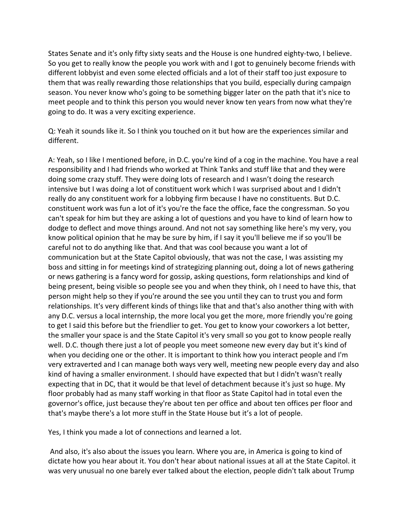States Senate and it's only fifty sixty seats and the House is one hundred eighty-two, I believe. So you get to really know the people you work with and I got to genuinely become friends with different lobbyist and even some elected officials and a lot of their staff too just exposure to them that was really rewarding those relationships that you build, especially during campaign season. You never know who's going to be something bigger later on the path that it's nice to meet people and to think this person you would never know ten years from now what they're going to do. It was a very exciting experience.

Q: Yeah it sounds like it. So I think you touched on it but how are the experiences similar and different.

A: Yeah, so I like I mentioned before, in D.C. you're kind of a cog in the machine. You have a real responsibility and I had friends who worked at Think Tanks and stuff like that and they were doing some crazy stuff. They were doing lots of research and I wasn't doing the research intensive but I was doing a lot of constituent work which I was surprised about and I didn't really do any constituent work for a lobbying firm because I have no constituents. But D.C. constituent work was fun a lot of it's you're the face the office, face the congressman. So you can't speak for him but they are asking a lot of questions and you have to kind of learn how to dodge to deflect and move things around. And not not say something like here's my very, you know political opinion that he may be sure by him, if I say it you'll believe me if so you'll be careful not to do anything like that. And that was cool because you want a lot of communication but at the State Capitol obviously, that was not the case, I was assisting my boss and sitting in for meetings kind of strategizing planning out, doing a lot of news gathering or news gathering is a fancy word for gossip, asking questions, form relationships and kind of being present, being visible so people see you and when they think, oh I need to have this, that person might help so they if you're around the see you until they can to trust you and form relationships. It's very different kinds of things like that and that's also another thing with with any D.C. versus a local internship, the more local you get the more, more friendly you're going to get I said this before but the friendlier to get. You get to know your coworkers a lot better, the smaller your space is and the State Capitol it's very small so you got to know people really well. D.C. though there just a lot of people you meet someone new every day but it's kind of when you deciding one or the other. It is important to think how you interact people and I'm very extraverted and I can manage both ways very well, meeting new people every day and also kind of having a smaller environment. I should have expected that but I didn't wasn't really expecting that in DC, that it would be that level of detachment because it's just so huge. My floor probably had as many staff working in that floor as State Capitol had in total even the governor's office, just because they're about ten per office and about ten offices per floor and that's maybe there's a lot more stuff in the State House but it's a lot of people.

Yes, I think you made a lot of connections and learned a lot.

And also, it's also about the issues you learn. Where you are, in America is going to kind of dictate how you hear about it. You don't hear about national issues at all at the State Capitol. it was very unusual no one barely ever talked about the election, people didn't talk about Trump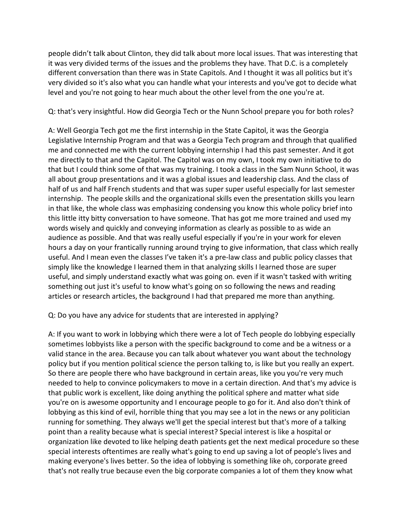people didn't talk about Clinton, they did talk about more local issues. That was interesting that it was very divided terms of the issues and the problems they have. That D.C. is a completely different conversation than there was in State Capitols. And I thought it was all politics but it's very divided so it's also what you can handle what your interests and you've got to decide what level and you're not going to hear much about the other level from the one you're at.

Q: that's very insightful. How did Georgia Tech or the Nunn School prepare you for both roles?

A: Well Georgia Tech got me the first internship in the State Capitol, it was the Georgia Legislative Internship Program and that was a Georgia Tech program and through that qualified me and connected me with the current lobbying internship I had this past semester. And it got me directly to that and the Capitol. The Capitol was on my own, I took my own initiative to do that but I could think some of that was my training. I took a class in the Sam Nunn School, it was all about group presentations and it was a global issues and leadership class. And the class of half of us and half French students and that was super super useful especially for last semester internship. The people skills and the organizational skills even the presentation skills you learn in that like, the whole class was emphasizing condensing you know this whole policy brief into this little itty bitty conversation to have someone. That has got me more trained and used my words wisely and quickly and conveying information as clearly as possible to as wide an audience as possible. And that was really useful especially if you're in your work for eleven hours a day on your frantically running around trying to give information, that class which really useful. And I mean even the classes I've taken it's a pre-law class and public policy classes that simply like the knowledge I learned them in that analyzing skills I learned those are super useful, and simply understand exactly what was going on. even if it wasn't tasked with writing something out just it's useful to know what's going on so following the news and reading articles or research articles, the background I had that prepared me more than anything.

Q: Do you have any advice for students that are interested in applying?

A: If you want to work in lobbying which there were a lot of Tech people do lobbying especially sometimes lobbyists like a person with the specific background to come and be a witness or a valid stance in the area. Because you can talk about whatever you want about the technology policy but if you mention political science the person talking to, is like but you really an expert. So there are people there who have background in certain areas, like you you're very much needed to help to convince policymakers to move in a certain direction. And that's my advice is that public work is excellent, like doing anything the political sphere and matter what side you're on is awesome opportunity and I encourage people to go for it. And also don't think of lobbying as this kind of evil, horrible thing that you may see a lot in the news or any politician running for something. They always we'll get the special interest but that's more of a talking point than a reality because what is special interest? Special interest is like a hospital or organization like devoted to like helping death patients get the next medical procedure so these special interests oftentimes are really what's going to end up saving a lot of people's lives and making everyone's lives better. So the idea of lobbying is something like oh, corporate greed that's not really true because even the big corporate companies a lot of them they know what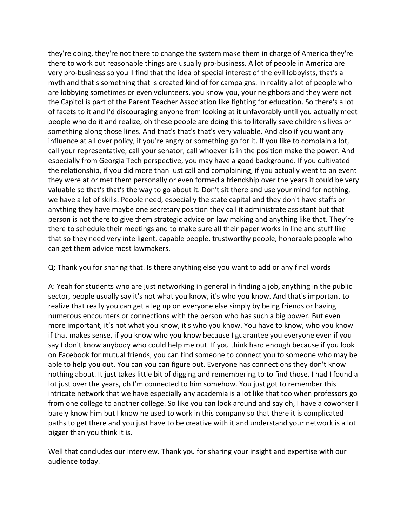they're doing, they're not there to change the system make them in charge of America they're there to work out reasonable things are usually pro-business. A lot of people in America are very pro-business so you'll find that the idea of special interest of the evil lobbyists, that's a myth and that's something that is created kind of for campaigns. In reality a lot of people who are lobbying sometimes or even volunteers, you know you, your neighbors and they were not the Capitol is part of the Parent Teacher Association like fighting for education. So there's a lot of facets to it and I'd discouraging anyone from looking at it unfavorably until you actually meet people who do it and realize, oh these people are doing this to literally save children's lives or something along those lines. And that's that's that's very valuable. And also if you want any influence at all over policy, if you're angry or something go for it. If you like to complain a lot, call your representative, call your senator, call whoever is in the position make the power. And especially from Georgia Tech perspective, you may have a good background. If you cultivated the relationship, if you did more than just call and complaining, if you actually went to an event they were at or met them personally or even formed a friendship over the years it could be very valuable so that's that's the way to go about it. Don't sit there and use your mind for nothing, we have a lot of skills. People need, especially the state capital and they don't have staffs or anything they have maybe one secretary position they call it administrate assistant but that person is not there to give them strategic advice on law making and anything like that. They're there to schedule their meetings and to make sure all their paper works in line and stuff like that so they need very intelligent, capable people, trustworthy people, honorable people who can get them advice most lawmakers.

Q: Thank you for sharing that. Is there anything else you want to add or any final words

A: Yeah for students who are just networking in general in finding a job, anything in the public sector, people usually say it's not what you know, it's who you know. And that's important to realize that really you can get a leg up on everyone else simply by being friends or having numerous encounters or connections with the person who has such a big power. But even more important, it's not what you know, it's who you know. You have to know, who you know if that makes sense, if you know who you know because I guarantee you everyone even if you say I don't know anybody who could help me out. If you think hard enough because if you look on Facebook for mutual friends, you can find someone to connect you to someone who may be able to help you out. You can you can figure out. Everyone has connections they don't know nothing about. It just takes little bit of digging and remembering to to find those. I had I found a lot just over the years, oh I'm connected to him somehow. You just got to remember this intricate network that we have especially any academia is a lot like that too when professors go from one college to another college. So like you can look around and say oh, I have a coworker I barely know him but I know he used to work in this company so that there it is complicated paths to get there and you just have to be creative with it and understand your network is a lot bigger than you think it is.

Well that concludes our interview. Thank you for sharing your insight and expertise with our audience today.